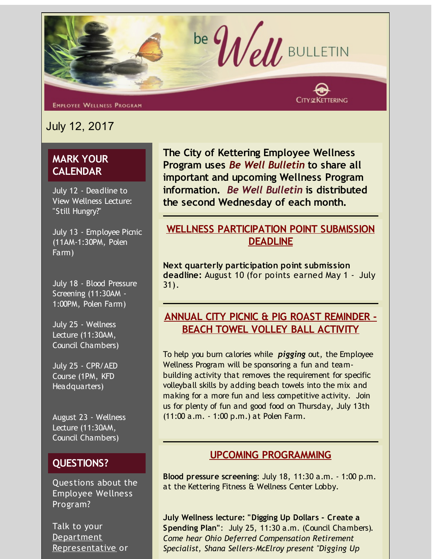

**EMPLOYEE WELLNESS PROGRAM** 

July 12, 2017

# **MARK YOUR CALENDAR**

July 12 - Deadline to View Wellness Lecture: "Still Hungry?"

July 13 - Employee Picnic (11AM-1:30PM, Polen Farm)

July 18 - Blood Pressure Screening (11:30AM - 1:00PM, Polen Farm)

July 25 - Wellness Lecture (11:30AM, Council Chambers)

July 25 - CPR/AED Course (1PM, KFD Headquarters)

August 23 - Wellness Lecture (11:30AM, Council Chambers)

## **QUESTIONS?**

Questions about the Employee Wellness Program?

Talk to your **Department** [Representative](http://r20.rs6.net/tn.jsp?f=001lVYrUNUR8f3xtoGHi7K8A3lK9UgAjxX83yx9dju-OVRKzrEmck6T4eGMAxFLxXlUQ8qmPl53eQiK9jn3dHl3Kc71oW7ZfaWFial6WxWjBldQsh2H8miBhG1DcuDUQjRocPP5hhROC8Ita3QBX5AFpFhx-ah9LN8wNXV8T5zbOIayzDRID_m2GxrY5qvDQtjgmW51CghKZQUDLbPnGoDi3A==&c=&ch=) or **The City of Kettering Employee Wellness Program uses** *Be Well Bulletin* **to share all important and upcoming Wellness Program information.** *Be Well Bulletin* **is distributed the second Wednesday of each month.**

## **WELLNESS PARTICIPATION POINT SUBMISSION DEADLINE**

**Next quarterly participation point submission deadline:** August 10 (for points earned May 1 - July 31).

# **ANNUAL CITY PICNIC & PIG ROAST REMINDER - BEACH TOWEL VOLLEY BALL ACTIVITY**

To help you burn calories while *pigging* out, the Employee Wellness Program will be sponsoring a fun and teambuilding activity that removes the requirement for specific volleyball skills by adding beach towels into the mix and making for a more fun and less competitive activity. Join us for plenty of fun and good food on Thursday, July 13th (11:00 a.m. - 1:00 p.m.) at Polen Farm.

#### **UPCOMING PROGRAMMING**

**Blood pressure screening**: July 18, 11:30 a.m. - 1:00 p.m. at the Kettering Fitness & Wellness Center Lobby.

**July Wellness lecture: "Digging Up Dollars - Create a Spending Plan"**: July 25, 11:30 a.m. (Council Chambers). *Come hear Ohio Deferred Compensation Retirement Specialist, Shana Sellers-McElroy present "Digging Up*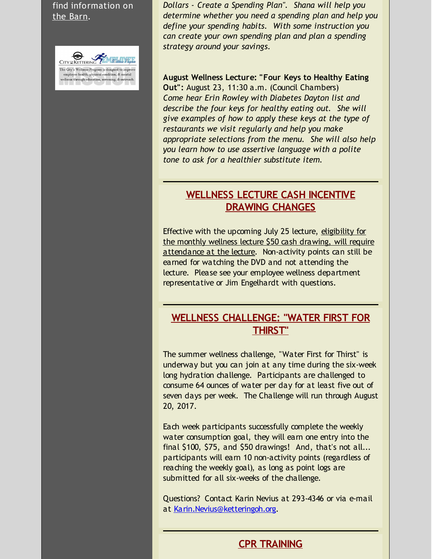find information on the [Barn](http://r20.rs6.net/tn.jsp?f=001lVYrUNUR8f3xtoGHi7K8A3lK9UgAjxX83yx9dju-OVRKzrEmck6T4daIFaARuyM8JngWnuDiRdwd-4WDiItKPzGIwNw4QJAW_vwd2y0EbAg226eW-_7yDjvOlryZQiPILlD1SV0HLs_NEyCCQ0PJ0mxtb4zfxVo575XRI2627L22pppNugvX2BCxyshTmJwE&c=&ch=).



*Dollars - Create a Spending Plan". Shana will help you determine whether you need a spending plan and help you define your spending habits. With some instruction you can create your own spending plan and plan a spending strategy around your savings.*

**August Wellness Lecture: "Four Keys to Healthy Eating** Out": August 23, 11:30 a.m. (Council Chambers) *Come hear Erin Rowley with Diabetes Dayton list and describe the four keys for healthy eating out. She will give examples of how to apply these keys at the type of restaurants we visit regularly and help you make appropriate selections from the menu. She will also help you learn how to use assertive language with a polite tone to ask for a healthier substitute item.*

### **WELLNESS LECTURE CASH INCENTIVE DRAWING CHANGES**

Effective with the upcoming July 25 lecture, eligibility for the monthly wellness lecture \$50 cash drawing, will require attendance at the lecture. Non-activity points can still be earned for watching the DVD and not attending the lecture. Please see your employee wellness department representative or Jim Engelhardt with questions.

### **WELLNESS CHALLENGE: "WATER FIRST FOR THIRST"**

The summer wellness challenge, "Water First for Thirst" is underway but you can join at any time during the six-week long hydration challenge. Participants are challenged to consume 64 ounces of water per day for at least five out of seven days per week. The Challenge will run through August 20, 2017.

Each week participants successfully complete the weekly water consumption goal, they will earn one entry into the final \$100, \$75, and \$50 drawings! And, that's not all... participants will earn 10 non-activity points (regardless of reaching the weekly goal), as long as point logs are submitted for all six-weeks of the challenge.

Questions? Contact Karin Nevius at 293-4346 or via e-mail at [Karin.Nevius@ketteringoh.org](mailto:Karin.Nevius@ketteringoh.org).

# **CPR TRAINING**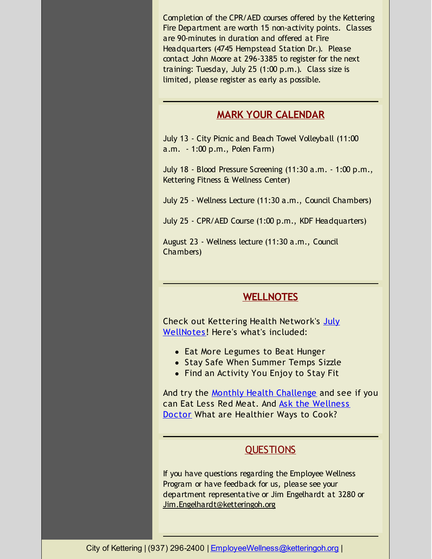Completion of the CPR/AED courses offered by the Kettering Fire Department are worth 15 non-activity points. Classes are 90-minutes in duration and offered at Fire Headquarters (4745 Hempstead Station Dr.). Please contact John Moore at 296-3385 to register for the next training: Tuesday, July 25 (1:00 p.m.). Class size is limited, please register as early as possible.

#### **MARK YOUR CALENDAR**

July 13 - City Picnic and Beach Towel Volleyball (11:00 a.m. - 1:00 p.m., Polen Farm)

July 18 - Blood Pressure Screening (11:30 a.m. - 1:00 p.m., Kettering Fitness & Wellness Center)

July 25 - Wellness Lecture (11:30 a.m., Council Chambers)

July 25 - CPR/AED Course (1:00 p.m., KDF Headquarters)

August 23 - Wellness lecture (11:30 a.m., Council Chambers)

### **WELLNOTES**

Check out Kettering Health Network's July [WellNotes!](http://r20.rs6.net/tn.jsp?f=001lVYrUNUR8f3xtoGHi7K8A3lK9UgAjxX83yx9dju-OVRKzrEmck6T4bV8vR93v3Nd-wWW7JBV91pRazNld81G67eisp5owNIVFeMVQi7gAL6uAZ_TUa5YBX5NYoNnug2I3RrDR7K-9jGcz7otO_YRSEjalahfPtbQViyS8G5K13zjevi05hGGbuaEFdhsjcepwSE-HpUIb3koTc07RUXQttZfsGL8OikuN4L37X8Z8Mpb2u3SQB-wU9xrWHVtpWw7&c=&ch=) Here's what's included:

- Eat More Legumes to Beat Hunger
- Stay Safe When Summer Temps Sizzle
- Find an Activity You Enjoy to Stay Fit

And try the Monthly Health [Challenge](http://r20.rs6.net/tn.jsp?f=001lVYrUNUR8f3xtoGHi7K8A3lK9UgAjxX83yx9dju-OVRKzrEmck6T4bV8vR93v3NdpdPJZc1Oj16M0NpWQ5dP9wEZaW_J3QJQT0pVWOyAO0qpt3q1DVImN88UAmQe7C9Y_qLYMpZ0NnF3nO1xinoZ4mWtyRC4Q5FSyiFi7OI7XECTfbFjwMUI-Gx7rbQEfWwBB8DIsL0oI9-gxltOMQAMkxkbLj9B1MfmGMp0v2WjwOWei_WZjNqJO4NepY0FZFmz&c=&ch=) and see if you can Eat Less Red Meat. And Ask the Wellness Doctor What are [Healthier](http://r20.rs6.net/tn.jsp?f=001lVYrUNUR8f3xtoGHi7K8A3lK9UgAjxX83yx9dju-OVRKzrEmck6T4bV8vR93v3NdVP0k23WOPunSJXlKZKGkj2o62vLYNRJn3WkG8rzgHPbp0k5PGtTVyQoBlojZnmXBu2A0tQGTV2YNi8IBDPZ3aaDe_FiyQSI_B8iU6LIJ2-hl4o_lhXxwZJg7SL2v2JysaAf5d5J8X-MneKZxPQjoMRbWAKYH_9rC8MkYaSBx-c062pUSl_X0dNR5l1X6Qg7F&c=&ch=) Ways to Cook?

# **QUESTIONS**

If you have questions regarding the Employee Wellness Program or have feedback for us, please see your department representative or Jim Engelhardt at 3280 or [Jim.Engelhardt@ketteringoh.org](mailto:Jim.Engelhardt@ketteringoh.org)

City of Kettering | (937) 296-2400 | [EmployeeWellness@ketteringoh.org](mailto:EmployeeWellness@ketteringoh.org) |